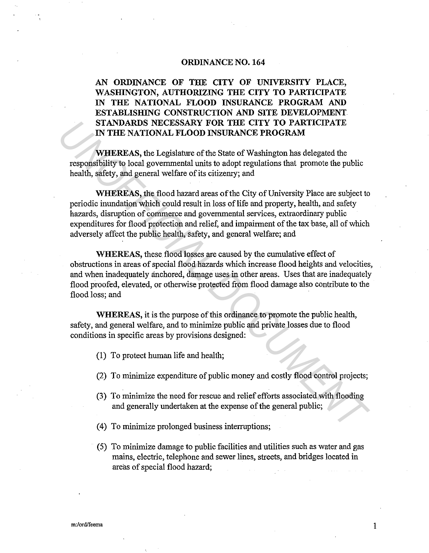### **ORDINANCE NO. 164**

# **AN ORDINANCE OF THE CITY OF UNIVERSITY PLACE, WASHINGTON, AUTHORIZING THE CITY TO PARTICIPATE IN THE NATIONAL FLOOD INSURANCE PROGRAM AND ESTABLISHING CONSTRUCTION AND SITE DEVELOPMENT STANDARDS NECESSARY FOR THE CITY TO PARTICIPATE IN THE NATIONAL FLOOD INSURANCE PROGRAM**

**WHEREAS,** the Legislature of the State of Washington has delegated the responsibility to local governmental units to adopt regulations that promote the public health, safety, and general welfare of its citizenry; and

**WHEREAS,** the flood hazard areas of the City of University Place are subject to periodic inundation which could result in loss of life and property, health, and safety hazards, disruption of commerce and governmental services, extraordinary public expenditures for flood protection and relief, and impairment of the tax base, all of which adversely affect the public health, safety, and general welfare; and **STANDARDS NECESSARY FOR THE CITY TO PARTICITATE**<br>
IN THE NATIONAL FLOOD INSURANCE PROGRAM<br>
WHEREAS, the Legislative of the State of Washington has delegated the<br>
responsibility to local governmental units to adopt regulat

**WHEREAS,** these flood losses are caused by the cumulative effect of obstructions in areas of special flood hazards which increase flood heights and velocities, and when inadequately anchored, damage uses in other areas. Uses that are inadequately flood proofed, elevated, or otherwise protected from flood damage also contribute to the flood loss; and

WHEREAS, it is the purpose of this ordinance to promote the public health, safety, and general welfare, and to minimize public and private losses due to flood conditions in specific areas by provisions designed:

- (1) To protect human life and health;
- (2) To minimize expenditure of public money and costly flood control projects;
- (3) To minimize the need for rescue and relief efforts associated with flooding and generally undertaken at the expense of the general public;
- (4) To minimize prolonged business interruptions;
- (5) To minimize damage to public facilities and utilities such as water and gas mains, electric, telephone and sewer lines, streets, and bridges located in areas of special flood hazard;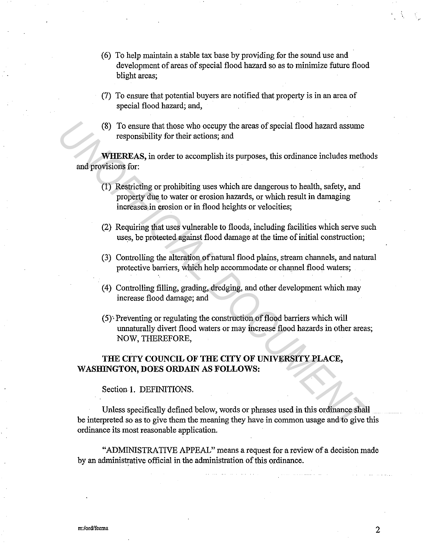- (6) To help maintain a stable tax base by providing for the sound use and development of areas of special flood hazard so as to minimize future flood blight areas;
- (7) To ensure that potential buyers are notified that property is in an area of special flood hazard; and,
- (8) To ensure that those who occupy the areas of special flood hazard assume responsibility for their actions; and

**WHEREAS,** in order to accomplish its purposes, this ordinance includes methods and provisions for:

- (1) Restricting or prohibiting uses which are dangerous to health, safety, and property due to water or erosion hazards, or which result in damaging increases in erosion or in flood heights or velocities;
- (2) Requiring that uses vulnerable to floods, including facilities which serve such uses, be protected against flood damage at the time of initial construction;
- (3) Controlling the alteration of natural flood plains, stream channels, and natural protective barriers, which help accommodate or channel flood waters;
- (4) Controlling filling, grading, dredging, and other development which may increase flood damage; and
- (5)' Preventing or regulating the construction of flood barriers which will unnaturally divert flood waters or may increase flood hazards in other areas; NOW, THEREFORE,

### **THE CITY COUNCIL OF THE CITY OF UNIVERSITY PLACE,**  WASHINGTON, DOES ORDAIN AS FOLLOWS:

Section **1.** DEFINITIONS.

Unless specifically defined below, words or phrases used in this ordinance shall be interpreted so as to give them the meaning they have in common usage and to give this ordinance its most reasonable application. (8) To ensure that those who occupy the areas of special flood hazard assume<br> **WHEREAS**, in order to accomplish its purposes, this ordinance includes metho<br>
and provisions for:<br>
(1) Restricting or probibiting uses which ar

"ADMINISTRATIVE APPEAL" means a request for a review of a decision made by an administrative official in the administration of this ordinance.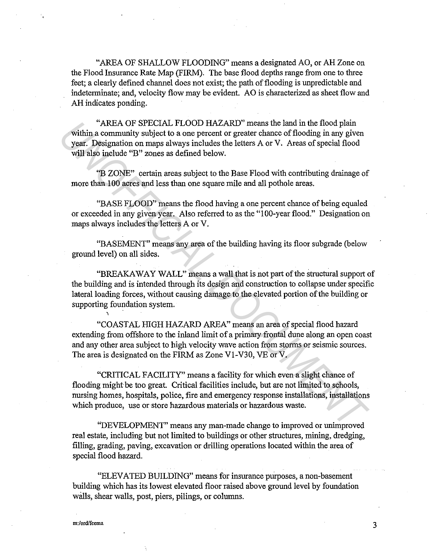"AREA OF SHALLOW FLOODING" means a designated AO, or AH Zone on the Flood Insurance Rate Map (FIRM). The base flood depths range from one to three feet; a clearly defined charmel does not exist; the path of flooding is unpredictable and indeterminate; and, velocity flow may be evident. AO is characterized as sheet flow and AH indicates ponding.

"AREA OF SPECIAL FLOOD HAZARD" means the land in the flood plain within a community subject to a one percent or greater chance of flooding in any given year. Designation on maps always includes the letters A or V. Areas of special flood will also include "B" zones as defined below.

"B ZONE" certain areas subject to the Base Flood with contributing drainage of more than 100 acres and less than one square mile and all pothole areas.

"BASE FLOOD" means the flood having a one percent chance of being equaled or exceeded in any given year. Also referred to as the "l 00-year flood." Designation on maps always includes the letters A or V.

"BASEMENT" means any area of the building having its floor subgrade (below ground level) on all sides.

"BREAKAWAY WALL" means a wall that is not part of the structural support of the building and is intended through its design and construction to collapse under specific lateral loading forces, without causing damage to the elevated portion of the building or supporting foundation system. and the flood plain<br>and community subject to a one percent or greater chance of flooding in any given<br>yith a community subject to a one percent or greater chance of flooding in any given<br>year. Designation on maps always i

'<br>^ "COAST AL HIGH HAZARD AREA" means an area of special flood hazard extending from offshore to the inland limit of a primary frontal dune along an open coast and any other area subject to high velocity wave action from storms or seismic sources. The area is designated on the FIRM as Zone Vl-V30, VE or V.

"CRITICAL FACILITY" means a facility for which even a slight chance of flooding might be too great. Critical facilities include, but are not limited to schools, nursing homes, hospitals, police, fire and emergency response installations, installations which produce, use or store hazardous materials or hazardous waste.

"DEVELOPMENT" means any man-made change to improved or unimproved real estate, including but not limited to buildings or other structures, mining, dredging, filling, grading, paving, excavation or drilling operations located within the area of special flood hazard.

"ELEVATED BUILDING" means for insurance purposes, a non-basement building which has its lowest elevated floor raised above ground level by foundation walls, shear walls, post, piers, pilings, or columns.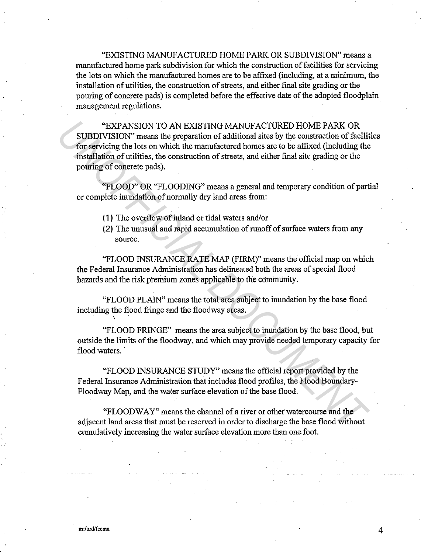"EXISTING MANUFACTURED HOME PARK OR SUBDIVISION" means a manufactured home park subdivision for which the construction of facilities for servicing the lots on which the manufactured homes are to be affixed (including, at a minimum, the installation of utilities, the construction of streets, and either final site grading or the pouring of concrete pads) is completed before the effective date of the adopted floodplain management regulations.

"EXPANSION TO AN EXISTING MANUFACTURED HOME PARK OR SUBDIVISION" means the preparation of additional sites by the construction of facilities for servicing the lots on which the manufactured homes are to be affixed (including the installation of utilities, the construction of streets, and either final site grading or the pouring of concrete pads). <sup>4</sup>EXPANSION TO AN EXISTING MANUFACTURED HOME PARK OR<br> **SUBDIVISION** means the preparation of additional sites by the construction of facility<br>
for servicing the los on which the manufactured homes are to be affixed (inclu

"FLOOD" OR "FLOODING" means a general and temporary condition of partial or complete inundation of normally dry land areas from:

- ( 1 ) The overflow of inland or tidal waters and/or
- (2) The unusual and rapid accumulation of runoff of surface waters from any source.

"FLOOD INSURANCE RATE MAP (FIRM)" means the official map on which the Federal Insurance Administration has delineated both the areas of special flood hazards and the risk premium zones applicable to the community.

"FLOOD PLAIN" means the total area subject to inundation by the base flood including the flood fringe and the floodway areas. ' .

"FLOOD FRINGE" means the area subject to inundation by the base flood, but outside the limits of the floodway, and which may provide needed temporary capacity for flood waters.

"FLOOD INSURANCE STUDY" means the official report provided by the Federal Insurance Administration that includes flood profiles, the Flood Boundary-Floodway Map, and the water surface elevation of the base flood.

"FLOOD WAY" means the channel of a river or other watercourse and the adjacent land areas that must be reserved in order to discharge the base flood without cumulatively increasing the water surface elevation more than one foot.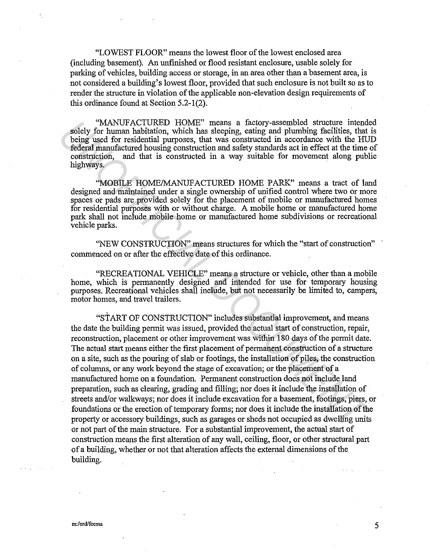"LOWEST FLOOR" means the lowest floor of the lowest enclosed area (including basement). An unfinished or flood resistant enclosure, usable solely for parking of vehicles, building access or storage, in an area other than a basement area, is not considered a building's lowest floor, provided that such enclosure is not built so as to render the structure in violation of the applicable non-elevation design requirements of this ordinance found at Section 5.2-1(2).

"MANUFACTURED HOME" means a factory-assembled structure intended solely for human habitation, which has sleeping, eating and plumbing facilities, that is being used for residential purposes, that was constructed in accordance with the HUD federal manufactured housing construction and safety standards act in effect at the time of construction, and that is constructed in a way suitable for movement along public highways.

"MOBILE HOME/MANUFACTURED HOME PARK" means a tract of land designed and maintained under a single ownership of unified control where two or more spaces or pads are provided solely for the placement of mobile or manufactured homes for residential purposes with or without charge. A mobile home or manufactured home park shall not include mobile home or manufactured home subdivisions or recreational vehicle parks.

"NEW CONSTRUCTION" means structures for which the "start of construction" commenced on or after the effective date of this ordinance.

"RECREATIONAL VEHICLE" means a structure or vehicle, other than a mobile home, which is permanently designed and intended for use for temporary housing purposes. Recreational vehicles shall include, but not necessarily be limited to, campers, motor homes, and travel trailers.

"START OF CONSTRUCTION" includes substantial improvement, and means the date the building permit was issued, provided the actual start of construction, repair, reconstruction, placement or other improvement was within 180 days of the permit date. The actual start means either the first placement of permanent construction of a structure on a site, such as the pouring of slab or footings, the installation of piles, the construction of columns, or any work beyond the stage of excavation; or the placement of a manufactured home on a foundation. Permanent construction does not include land preparation, such as clearing, grading and filling; nor does it include the installation of streets and/or walkways; nor does it include excavation for a basement, footings, piers, or foundations or the erection of temporary forms; nor does it include the installation of the property or accessory buildings, such as garages or sheds not occupied as dwelling units or not part of the main structure. For a substantial improvement, the actual start of construction means the first alteration of any wall, ceiling, floor, or other structural part ofa building, whether or not that alteration affects the external dimensions of the building. <sup>4</sup>NANUFACTURED HOOME? means a factory-assembled structure intended<br>for human habitation, which has sleeping, eating and plumbing facilities, that<br>being used for residential purposes, that was constructed in a<br>condition de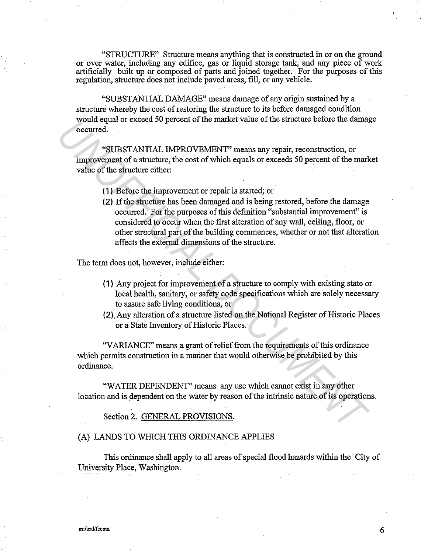"STRUCTURE" Structure means anything that is constructed in or on the ground or over water, including any edifice, gas or liquid storage tank, and any piece of work artificially built up or composed of parts and joined together. For the purposes of this regulation, structure does not include paved areas, fill, or any vehicle.

"SUBSTANTIAL DAMAGE" means damage of any origin sustained by a structure whereby the cost of restoring the structure to its before damaged condition would equal or exceed 50 percent of the market value of the structure before the damage occurred.

"SUBSTANTIAL IMPROVEMENT" means any repair, reconstruction, or improvement of a structure, the cost of which equals or exceeds 50 percent of the market value of the structure either:

( 1 ) Before the improvement or repair is started; or

(2) If the structure has been damaged and is being restored, before the damage occurred. For the purposes of this definition "substantial improvement" is considered to occur when the first alteration of any wall, ceiling, floor, or other structural part of the building commences, whether or not that alteration affects the external dimensions of the structure. *N* out quest of the market value of the structure before the damage occurred.<br>
"CUBSTANTIAL IMPROVEMENT" means any repair, reconstruction, or<br>
improvement of a structure, the cost of which equals or exceeds 50 percent of

The term does not, however, include either:

- ( 1) Any project for improvement of a structure to comply with existing state or local health, sanitary, or safety code specifications which are solely necessary to assure safe living conditions, or
- (2), Any alteration of a structure listed on the National Register of Historic Places or a State Inventory of Historic Places.

"VARIANCE" means a grant of relief from the requirements of this ordinance which permits construction in a manner that would otherwise be prohibited by this ordinance.

"WATER DEPENDENT" means any use which cannot exist in any other location and is dependent on the water by reason of the intrinsic nature of its operations.

Section 2. GENERAL PROVISIONS.

#### (A) LANDS TO WHICH THIS ORDINANCE APPLIES

This ordinance shall apply to all areas of special flood hazards within the City of University Place, Washington.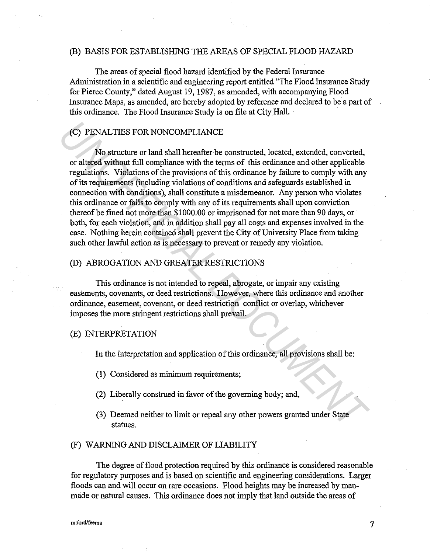### (B) BASIS FOR ESTABLISHING THE AREAS OF SPECIAL FLOOD HAZARD

The areas of special flood hazard identified by the Federal Insurance Administration in a scientific and engineering report entitled "The Flood Insurance Study for Pierce County," dated August 19, 1987, as amended, with accompanying Flood Insurance Maps, as amended, are hereby adopted by reference and declared to be a part of this ordinance. The Flood Insurance Study is on file at City Hall. . ·

### (C) PENAL TIES FOR NONCOMPLIANCE

No structure or land shall hereafter be constructed, located, extended, converted, or altered without full compliance with the terms of this ordinance and other applicable regulations. Violations of the provisions of this ordinance by failure to comply with any of its requirements (including violations of conditions and safeguards established in connection with conditions), shall constitute a misdemeanor. Any person who violates this ordinance or fails to comply with any of its requirements shall upon conviction thereof be fined not more than \$1000.00 or imprisoned for not more than 90 days, or both, for each violation, and in addition shall pay all costs and expenses involved in the case. Nothing herein contained shall prevent the City of University Place from taking such other lawful action as is necessary to prevent or remedy any violation. (C) PENALTIES FOR NONCOMPLIANCE<br>
<sup>1</sup>No structure or land shall hereafter be constructed, located, extended, converted,<br>
or altered without illl compliance with the terms of this ordinance and other applicable<br>
regulations.

### (D) ABROGATION AND GREATER RESTRICTIONS

This ordinance is not intended to repeal, abrogate, or impair any existing easements, covenants, or deed restrictions. However, where this ordinance and another ordinance, easement, covenant, or deed restriction conflict or overlap, whichever imposes the more stringent restrictions shall prevail.

#### (E) INTERPRETATION

In the interpretation and application of this ordinance, all provisions shall be:

- (1) Considered as minimum requirements;
- (2) Liberally construed in favor of the governing body; and,
- (3) Deemed neither to limit or repeal any other powers granted under State statues.

#### (F) WARNING AND DISCLAIMER OF LIABILITY

The degree of flood protection required by this ordinance is considered reasonable for regulatory purposes and is based on scientific and engineering considerations. Larger floods can and will occur on rare occasions. Flood heights may be increased by manmade or natural causes. This ordinance does not imply that land outside the areas of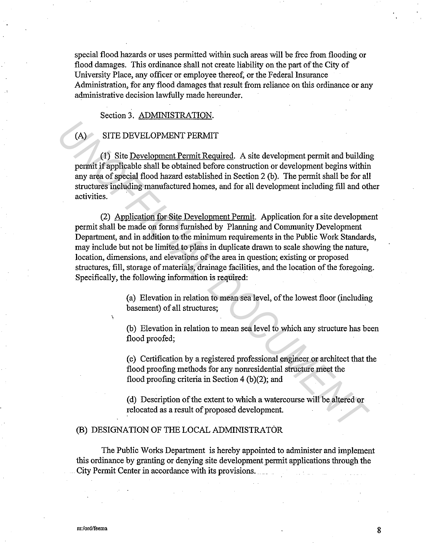special flood hazards or uses permitted within such areas will be free from flooding or flood damages. This ordinance shall not create liability on the part of the City of University Place, any officer or employee thereof, or the Federal Insurance Administration, for any flood damages that result from reliance on this ordinance or any administrative decision lawfully made hereunder.

### Section 3. ADMINISTRATION.

### (A) SITE DEVELOPMENT PERMIT

(1) Site Development Permit Required. A site development permit and building permit if applicable shall be obtained before construction or development begins within any area of special flood hazard established in Section 2 (b). The permit shall be for all structures including manufactured homes, and for all development including fill and other activities.

(2) Application for Site Development Permit. Application for a site development permit shall be made on forms furnished by Planning and Community Development Department, and in addition to the minimum requirements in the Public Work Standards, may include but not be limited to plans in duplicate drawn to scale showing the nature, location, dimensions, and elevations of the area in question; existing or proposed structures; fill, storage of materials, drainage facilities, and the location of the foregoing. Specifically, the following information is required: (A) SITE DEVELOPMENT PERMIT<br>
(1) Site Development Permit Required. A site development permit and build<br>
mermit if applicable shall be obtained before construction or development hegins within<br>
any area of special flood haz

(a) Elevation in relation to mean sea level, of the lowest floor (including basement) of all structures;

(b) Elevation in relation to mean sea level to which any structure has been flood proofed;

( c) Certification by a registered professional engineer or architect that the flood proofing methods for any nonresidential structure meet the flood proofing criteria in Section  $4(b)(2)$ ; and

( d) Description of the extent to which a watercourse will be altered or relocated as a result of proposed development.

#### (B) DESIGNATION OF THE LOCAL ADMINISTRATOR

The Public Works Department is hereby appointed to administer and implement this ordinance by granting or denying site development permit applications through the City Permit Center in accordance with its provisions.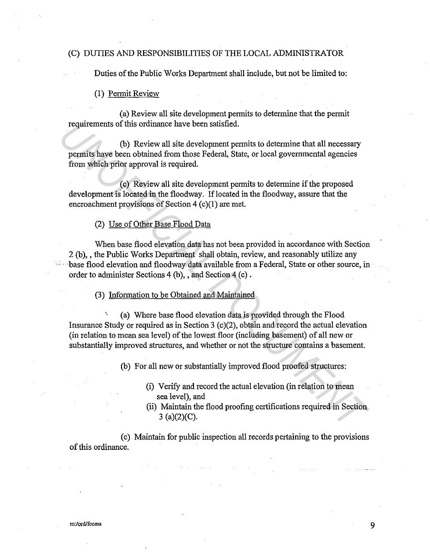#### (C) DUTIES AND RESPONSIBILITIES OF THE LOCAL ADMINISTRATOR

Duties of the Public Works Department shall include, but not be limited to:

#### (1) Permit Review

(a) Review all site development permits to determine that the permit requirements of this ordinance have been satisfied.

(b) Review all site development permits to determine that all necessary permits have been obtained from those Federal, State, or local governmental agencies from which prior approval is required.

( c) Review all site development permits to determine if the proposed development is located in the floodway. If located in the floodway, assure that the encroachment provisions of Section 4 (c)(l) are met.

#### (2) Use of Other Base Flood Data

When base flood elevation data has not been provided in accordance with Section 2 (b),, the Public Works Department shall obtain, review, and reasonably utilize any ·base flood elevation and floodway data available from a Federal, State or other source, in order to administer Sections 4 (b), , and Section 4 (c). **Examplements** of this ordinance have been satisfied.<br>
(b) Review all site development permits to determine that all necessary<br>
permits have been obtained from those Federal, State, or local governmental agencies<br>
from whi

(3) Information to be Obtained and Maintained

' (a) Where base flood elevation data is provided through the Flood Insurance Study or required as in Section 3 ( $c$ )(2), obtain and record the actual elevation (in relation to mean sea level) of the lowest floor (including basement) of all new or substantially improved structures, and whether or not the structure contains a basement.

(b) For all new or substantially improved flood proofed structures:

- (i) Verify and record the actual elevation (in relation to mean sea level), and
- (ii) Maintain the flood proofing certifications required in Section 3 (a)(2)(C).

( c) Maintain for public inspection all records pertaining to the provisions of this ordinance.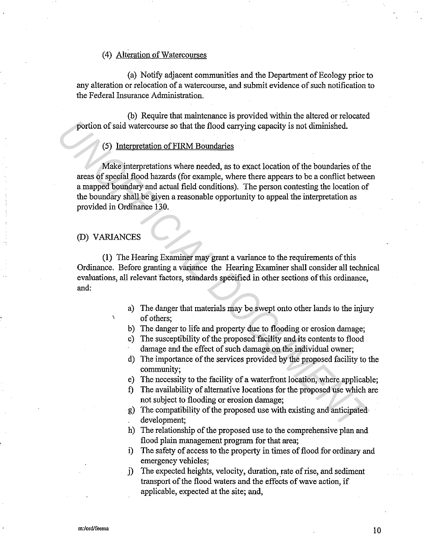### (4) Alteration of Watercourses

(a) Notify adjacent communities and the Department of Ecology prior to any alteration or relocation of a watercourse, and submit evidence of such notification to the Federal Insurance Administration.

(b) Require that maintenance is provided within the altered or relocated portion of said watercourse so that the flood carrying capacity is not diminished.

### (5) Interpretation of FIRM Boundaries

Make interpretations where needed, as to exact location of the boundaries of the areas of special flood hazards (for example, where there appears to be a conflict between a mapped boundary and actual field conditions). The person contesting the location of the boundary shall be given a reasonable opportunity to appeal the interpretation as provided in Ordinance 130. **Example 19 and 19 and 19 and 19 and 19 and 19 and 19 and 19 and 19 and 19 and 19 and 19 and 19 and 19 and 19 and 19 and 19 and 19 and 19 and 19 and 19 and 19 and 19 and 19 and 19 and 19 and 19 and 19 and 19 and 19 and 19** 

### (D) VARIANCES

(1) The Hearing Examiner may grant a variance to the requirements of this Ordinance. Before granting a variance the Hearing Examiner shall consider all technical evaluations, all relevant factors, standards specified in other sections of this ordinance, and:

- a) The danger that materials may be swept onto other lands to the injury of others;
- b) The danger to life and property due to flooding or erosion damage;
- c) The susceptibility of the proposed facility and its contents to flood damage and the effect of such damage on the individual owner;
- d) The importance of the services provided by the proposed facility to the community;
- e) The necessity to the facility of a waterfront location, where applicable;
- f) The availability of alternative locations for the proposed use which are not subject to flooding or erosion damage;
- g) The compatibility of the proposed use with existing and anticipated development;
- h) The relationship of the proposed use to the comprehensive plan and flood plain management program for that area;
- i) The safety of access to the property in times of flood for ordinary and emergency vehicles;
- j) The expected heights, velocity, duration, rate of rise, and sediment transport of the flood waters and the effects of wave action, if applicable, expected at the site; and,

10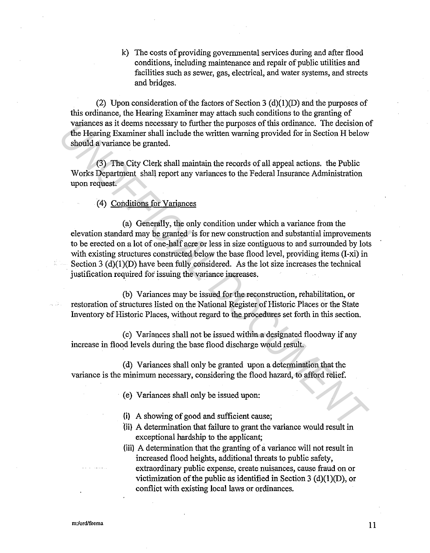k) The costs of providing governmental services during and after flood conditions, including maintenance and repair of public utilities and facilities such as sewer, gas, electrical, and water systems, and streets and bridges.

(2) Upon consideration of the factors of Section 3 (d)(1)(D) and the purposes of this ordinance, the Hearing Examiner may attach such conditions to the granting of variances as it deems necessary to further the purposes of this ordinance. The decision of the Hearing Examiner shall include the written warning provided for in Section H below should a variance be granted.

(3) The City Clerk shall maintain the records of all appeal actions. the Public Works Department shall report any variances to the Federal Insurance Administration upon request.

(4) Conditions for Variances

(a) Generally, the only condition under which a variance from the elevation standard may be granted is for new construction and substantial improvements to be erected on a lot of one-half acre or less in size contiguous to and surrounded by lots with existing structures constructed below the base flood level, providing items (I-xi) in Section 3  $(d)(1)(D)$  have been fully considered. As the lot size increases the technical justification required for issuing the variance increases. variances as it deems necessary to further the purposes of this ordinance. The decision of<br>the Hearing Examiner shall include the written warning provided for in Section H below<br>should a variance be granted.<br>(3) The City C

(b) Variances may be issued for the reconstruction, rehabilitation, or restoration of structures listed on the National Register of Historic Places or the State Inventory of Historic Places, without regard to the procedures set forth in this section.

(c) Variances shall not be issued within a designated floodway if any increase in flood levels during the base flood discharge would result.

( d) Variances shall only be granted upon a determination that the variance is the minimum necessary, considering the flood hazard, to afford relief.

- ( e) Variances shall only be issued upon:
- (i) A showing of good and sufficient cause;
- '(ii) A determination that failure to grant the variance would result in exceptional hardship to the applicant;
- {iii) A determination that the granting of a variance will not result in increased flood heights, additional threats to public safety, extraordinary public expense, create nuisances, cause fraud on or victimization of the public as identified in Section 3 (d)(1)(D), or conflict with existing local laws or ordinances.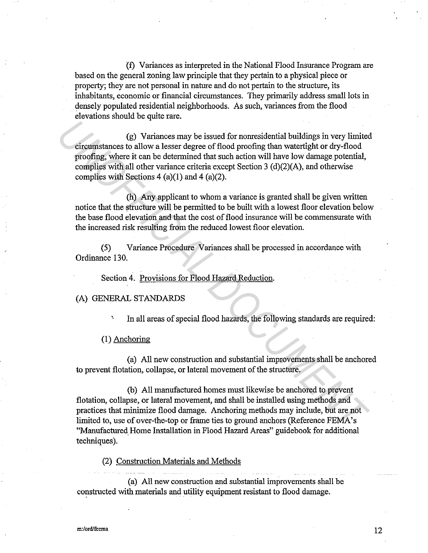(f) Variances as interpreted in the National Flood Insurance Program are based on the general zoning law principle that they pertain to a physical piece or property; they are not personal in nature and do not pertain to the structure, its inhabitants, economic or financial circumstances. They primarily address small lots in densely populated residential neighborhoods. As such, variances from the flood elevations should be quite rare.

(g) Variances may be issued for nonresidential buildings in very limited circumstances to allow a lesser degree of flood proofing than watertight or dry-flood proofing, where it can be determined that such action will have low damage potential, complies with all other variance criteria except Section 3 (d)(2)(A), and otherwise complies with Sections 4 (a)(1) and 4 (a)(2). (g) Variances may be issued for nonesidential buildings in very limite<br>
circumstances to allow a lesser degree of flood proofing than watertight or dry-flood<br>
proofing, where it can be determined that such action will hav

(h) Any applicant to whom a variance is granted shall be given written notice that the structure will be permitted to be built with a lowest floor elevation below the base flood elevation and that the cost of flood insurance will be commensurate with the increased risk resulting from the reduced lowest floor elevation.

(5) Variance Procedure Variances shall be processed in accordance with Ordinance 130.

Section 4. Provisions for Flood Hazard Reduction.

### (A) GENERAL STANDARDS

In all areas of special flood hazards, the following standards are required:

(1) Anchoring

(a) All new construction and substantial improvements shall be anchored to prevent flotation, collapse, or lateral movement of the structure.

(b) All manufactured homes must likewise be anchored to prevent flotation, collapse, or lateral movement, and shall be installed using methods and practices that minimize flood damage. Anchoring methods may include, but are not limited to, use of over-the-top or frame ties to ground anchors (Reference FEMA's "Manufactured. Home Installation in Flood Hazard Areas" guidebook for additional techniques).

(2) Construction Materials and Methods

(a) All new construction and substantial improvements shall be constructed with materials and utility equipment resistant to flood damage.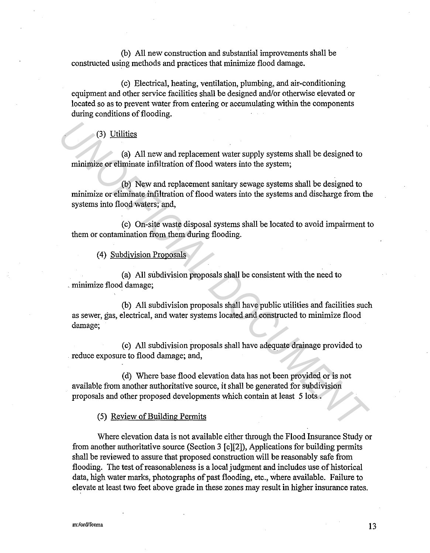(b) All new construction and substantial improvements shall be constructed using methods and practices that minimize flood damage.

( c) Electrical, heating, ventilation, plumbing, and air-conditioning equipment and other service facilities shall be designed and/or otherwise elevated or located so as to prevent water from entering or accumulating within the components during conditions of flooding.

### (3) Utilities

(a) All new and replacement water supply systems shall be designed to minimize or eliminate infiltration of flood waters into the system;

(b) New and replacement sanitary sewage systems shall be designed to minimize or eliminate infiltration of flood waters into the systems and discharge from the systems into flood waters; and, (3) Utilities<br>
(a) All new and replacement water supply systems shall be designed to<br>
minimize or eliminate infiltration of flood waters into the systems shall be designed to<br>
minimize or eliminate infiltration of flood wa

( c) On-site waste disposal systems shall be located to avoid impairment to them or contamination from them during flooding.

#### ( 4) Subdivision Proposals

(a) All subdivision proposals shall be consistent with the need to . minimize flood damage;

(b) All subdivision proposals shall have public utilities and facilities such as sewer, gas, electrical, and water systems located and constructed to minimize flood damage;

( c) All subdivision proposals shall have adequate drainage provided to reduce exposure to flood damage; and,

( d) Where base flood elevation data has not been provided or is not available from another authoritative source, it shall be generated for subdivision proposals and other proposed developments which contain at least 5 lots .

#### (5) Review of Building Permits

Where elevation data is not available either through the Flood Insurance Study or from another authoritative source (Section 3 [c][2]), Applications for building permits shall be reviewed to assure that proposed construction will be reasonably safe from flooding. The test of reasonableness is a local judgment and includes use of historical data, high water marks, photographs of past flooding, etc., where available. Failure to elevate at least two feet above grade in these zones may result in higher insurance rates.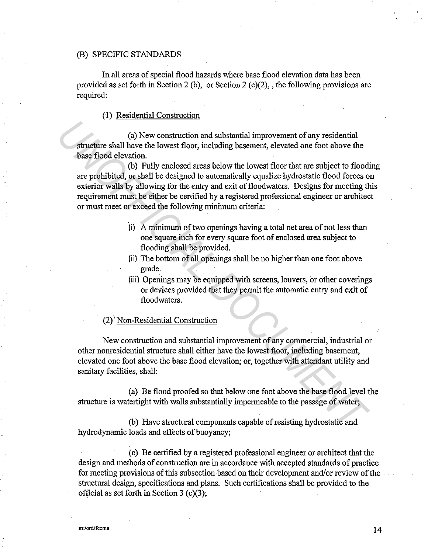#### (B) SPECIFIC STANDARDS

In all areas of special flood hazards where base flood elevation data has been provided as set forth in Section 2 (b), or Section 2 (c)(2), the following provisions are required:

### (1) Residential Construction

(a) New construction and substantial improvement of any residential structure shall have the lowest floor, including basement, elevated one foot above the base flood elevation.

(b) Fully enclosed areas below the lowest floor that are subject to flooding are prohibited, or shall be designed to automatically equalize hydrostatic flood forces on exterior walls by allowing for the entry and exit of floodwaters. Designs for meeting this requirement must be either be certified by a registered professional engineer or architect or must meet or exceed the following minimum criteria: (a) New construction and substantial improvement of any residential<br>structure shall have the lowest floor, including basement, elevated one foot above the<br>base flood elevation.<br>(b) Fully enclosed areas below the lowest flo

- (i) A minimum of two openings having a total net area of not less than one square inch for every square foot of enclosed area subject to flooding shall be provided.
- (ii) The bottom of all openings shall be no higher than one foot above grade.
- (iii) Openings may be equipped with screens, louvers, or other coverings or devices provided that they permit the automatic entry and exit of floodwaters.

#### (2)'° Non-Residential Construction

New construction and substantial improvement of any commercial, industrial or other nonresidential structure shall either have the lowest floor, including basement, elevated one foot above the base flood elevation; or, together with attendant utility and sanitary facilities, shall:

(a) Be flood proofed so that below one foot above the base flood level the structure is watertight with walls substantially impermeable to the passage of water;

(b) Have structural components capable of resisting hydrostatic and hydrodynamic loads and effects of buoyancy;

( c) Be certified by a registered professional engineer or architect that the design and methods of construction are in accordance with accepted standards of practice for meeting provisions of this subsection based on their development and/or review of the structural design, specifications and plans. Such certifications shall be provided to the official as set forth in Section 3  $(c)(3)$ ;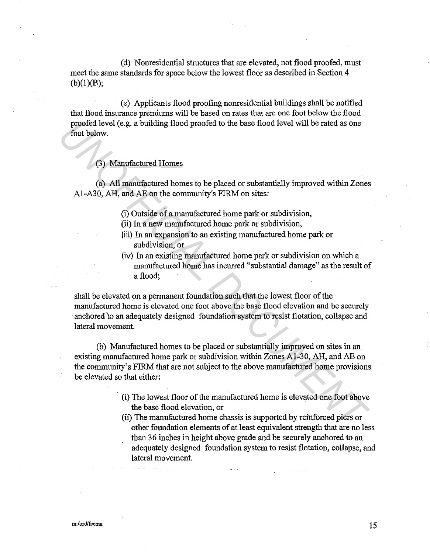( d) Nonresidential structures that are elevated, not flood proofed, must meet the same standards for space below the lowest floor as described in Section 4  $(b)(1)(B);$ 

( e) Applicants flood proofing nonresidential buildings shall be notified that flood insurance premiums will be based on rates that are one foot below the flood proofed level (e.g. a building flood proofed to the base flood level will be rated as one foot below.

#### (3) Manufactured Homes

(a) All manufactured homes to be placed or substantially improved within Zones Al-A30, AH, and AE on the community's FIRM on sites:

- (i) Outside of a manufactured home park or subdivision,
- (ii) In a new manufactured home park or subdivision,
- (iii) In an expansion to an existing manufactured home park or subdivision, or
- (iv) In an existing manufactured home park or subdivision on which a manufactured home has incurred "substantial damage" as the result of a flood;

shall be elevated on a permanent foundation such that the lowest floor of the manufactured home is elevated one foot above the base flood elevation and be securely anchored to an adequately designed foundation system to resist flotation, collapse and lateral movement.

(b) Manufactured homes to be placed or substantially improved on sites in an existing manufactured home park or subdivision within Zones Al-30, AH, and AE on the community's FIRM that are not subject to the above manufactured home provisions be elevated so that either: proof level (e.g. a building flood proofed to the base flood level will be rated as one<br> **Foot below.**<br>
(3) Manufactured Homes<br>
(6) All manufactured homes to be placed or substantially improved within Zones<br>
Al-A30, AH, an

- (i) The lowest floor of the manufactured home is elevated one foot above the base flood elevation, or
- (ii) The manufactured home chassis is supported by reinforced piers or other foundation elements of at least equivalent strength that are no less than 36 inches in height above grade and be securely anchored to an adequately designed foundation system to resist flotation, collapse, and lateral movement.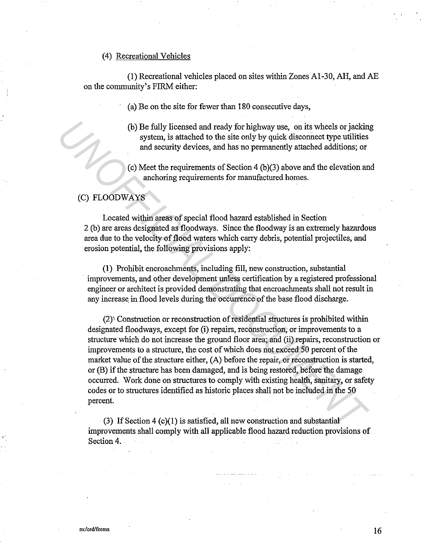#### (4) Recreational Vehicles

(1) Recreational vehicles placed on sites within Zones Al-30, AH, and AE on the community's FIRM either:

(a) Be on the site for fewer than 180 consecutive days,

- (b) Be fully licensed and ready for highway use, on its wheels or jacking system, is attached to the site only by quick disconnect type utilities and security devices, and has no permanently attached additions; or
- (c) Meet the requirements of Section 4 (b)(3) above and the elevation and anchoring requirements for manufactured homes.

# (C) FLOODWAYS

Located within areas of special flood hazard established in Section 2 (b) are areas designated as floodways. Since the floodway is an extremely hazardous area due to the velocity of flood waters which carry debris, potential projectiles, and erosion potential, the following provisions apply:

(1) Prohibit encroachments, including fill, new construction, substantial improvements, and other development unless certification by a registered professional engineer or architect is provided demonstrating that encroachments shall not result in any increase in flood levels during the occurrence of the base flood discharge.

(2)'• Construction or reconstruction of residential structures is prohibited within designated floodways, except for (i) repairs, reconstruction, or improvements to a structure which do not increase the ground floor area; and (ii) repairs, reconstruction or improvements to a structure, the cost of which does not exceed 50 percent of the market value of the structure either, (A) before the repair, or reconstruction is started, or (B) if the structure has been damaged, and is being restored, before the damage occurred. Work done on structures to comply with existing health, sanitary, or safety codes or to structures identified as historic places shall not be included in the 50 percent. (b) Be fully licensed and ready for highway use, on its wheels or jackin<br>system, is stated and the site only by quick disconnect type utilities<br>and security devices, and has no permanently attached additions; or<br>and securi

(3) If Section 4 (c)(l) is satisfied, all new construction and substantial improvements shall comply with all applicable flood hazard reduction provisions of Section 4.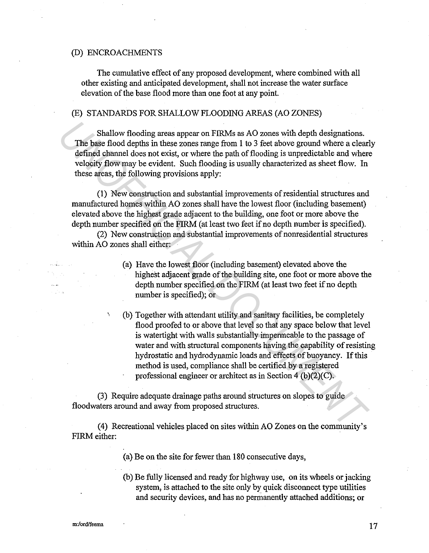#### (D) ENCROACHMENTS

The cumulative effect of any proposed development, where combined with all other existing and anticipated development, shall not increase the water surface elevation of the base flood more than one foot at any point.

#### (E) STANDARDS FOR SHALLOW FLOODING AREAS (AO ZONES)

Shallow flooding areas appear on FIRMs as AO zones with depth designations. The base flood depths in these zones range from 1 to 3 feet above ground where a clearly defined channel does not exist, or where the path of flooding is unpredictable and where velocity flow may be evident. Such flooding is usually characterized as sheet flow. In these areas, the following provisions apply:

(1) New construction and substantial improvements of residential structures and manufactured homes within AO zones shall have the lowest floor (including basement) elevated above the highest grade adjacent to the building, one foot or more above the depth number specified on the FIRM (at least two feet if no depth number is specified).

(2) New construction and substantial improvements of nonresidential structures within AO zones shall either:

- (a) Have the lowest floor (including basement) elevated above the highest adjacent grade of the building site, one foot or more above the depth number specified on the FIRM (at least two feet if no depth number is specified); or
- ' (b) Together with attendant utility and sanitary facilities, be completely flood proofed to or above that level so that any space below that level is watertight with walls substantially impermeable to the passage of water and with structural components having the capability of resisting hydrostatic and hydrodynamic loads and effects of buoyancy. If this method is used, compliance shall be certified by a registered professional engineer or architect as in Section  $4(b)(2)(C)$ . Shallow flooding areas appear on FIRMs as AO zones with depth designations. The base flood depths in these zones range from 1 to 3 feet above ground where a clear<br>defined channel does not exist, or where the path of flood

(3) Require adequate drainage paths around structures on slopes to guide floodwaters around and away from proposed structures.

(4) Recreational vehicles placed on sites within AO Zones on the community's FIRM either:

- (a) Be on the site for fewer than 180 consecutive days,
- (b) Be fully licensed and ready for highway use, on its wheels or jacking system, is attached to the site only by quick disconnect type utilities and security devices, and has no permanently attached additions; or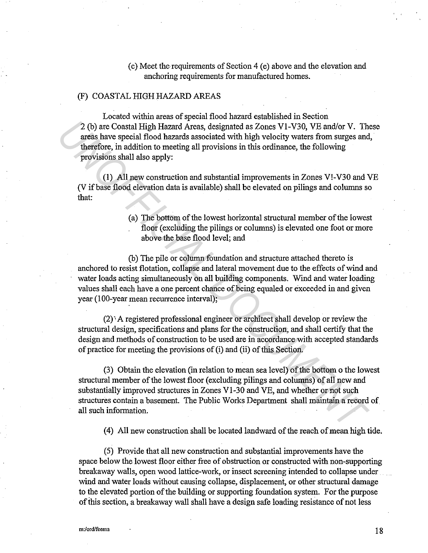( c) Meet the requirements of Section 4 ( e) above and the elevation and anchoring requirements for manufactured homes.

### (F) COASTAL HIGH HAZARD AREAS

Located within areas of special flood hazard established in Section 2 (b) are Coastal High Hazard Areas, designated as Zones Vl-V30, VE and/or V. These areas have special flood hazards associated with high velocity waters from surges and, therefore, in addition to meeting all provisions in this ordinance, the following provisions shall also apply:

(1) All new construction and substantial improvements in Zones V!-V30 and VE (V if base flood elevation data is available) shall be elevated on pilings and columns so that:

> (a) The bottom of the lowest horizontal structural member of the lowest floor (excluding the pilings or columns) is elevated one foot or more above the base flood level; and

(b) The pile or column foundation and structure attached thereto is anchored to resist flotation, collapse and lateral movement due to the effects of wind and water loads acting simultaneously on all building components. Wind and water loading values shall each have a one percent chance of being equaled or exceeded in and given year (100-year mean recurrence interval); 2 (b) are Coastal High Hazard Areas, designated as Zones V1-V30, VE and/or V. The<br>neas have special flood hazards associated with high velocity waters from surges and<br>nerefore, in addition to meeting all provisions in this

 $(2)$ . A registered professional engineer or architect shall develop or review the structural design, specifications and plans for the construction, and shall certify that the design and methods of construction to be used are in accordance with accepted standards of practice for meeting the provisions of (i) and (ii) of this Section.

(3) Obtain the elevation (in relation to mean sea level) of the bottom o the lowest structural member of the lowest floor (excluding pilings and columns) of all new and substantially improved structures in Zones Vl-30 and VE, and whether or not such structures contain a basement. The Public Works Department shall maintain a record of all such information.

( 4) All new construction shall be located landward of the reach of mean high tide.

(5) Provide that all new construction and substantial improvements have the space below the lowest floor either free of obstruction or constructed with non-supporting breakaway walls, open wood lattice-work, or insect screening intended to collapse under wind and water loads without causing collapse, displacement, or other structural damage to the elevated portion of the building or supporting foundation system. For the purpose of this section, a breakaway wall shall have a design safe loading resistance of not less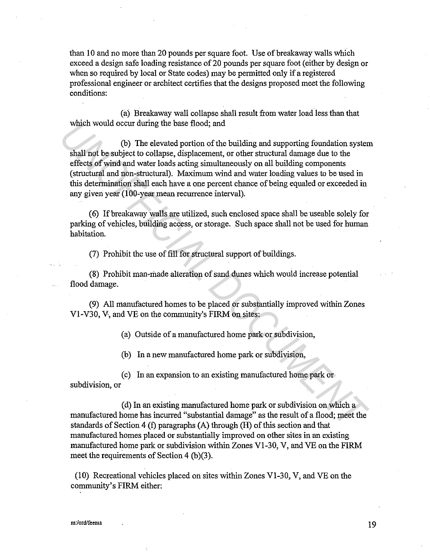than 10 and no more than 20 pounds per square foot. Use of breakaway walls which exceed a design safe loading resistance of 20 pounds per square foot (either by design or when so required by local or State codes) may be permitted only if a registered professional engineer or architect certifies that the designs proposed meet the following conditions:

(a) Breakaway wall collapse shall result from water load less than that which would occur during the base flood; and

(b) The elevated portion of the building and supporting foundation system shall not be subject to collapse, displacement, or other structural damage due to the effects of wind and water loads acting simultaneously on all building components (structural and non-structural). Maximum wind and water loading values to be used in this determination shall each have a one percent chance of being equaled or exceeded in any given year (100-year mean recurrence interval). which would occur during the base flood; and<br>
(b) The elevated portion of the building and supporting foundation system<br>
shall not be subject to collapse, displacement, or other structural damage due to the<br>
effects of win

( 6) If breakaway walls are utilized, such enclosed space shall be useable solely for parking of vehicles, building access, or storage. Such space shall not be used for human habitation.

(7) Prohibit the use of fill for structural support of buildings.

(8) Prohibit man-made alteration of sand dunes which would increase potential flood damage.

(9) All manufactured homes to be placed or substantially improved within Zones Vl-V30, V, and VE on the community's FIRM on sites:

(a) Outside of a manufactured home park or subdivision,

(b) In a new manufactured home park or subdivision,

( c) In an expansion to an existing manufactured home park or subdivision, or

(d) In an existing manufactured home park or subdivision on which a manufactured home has incurred "substantial damage" as the result of a flood; meet the standards of Section 4 (f) paragraphs (A) through (H) of this section and that manufactured homes placed or substantially improved on other sites in an existing manufactured home park or subdivision within Zones Vl-30, V, and VE on the FIRM meet the requirements of Section 4 (b)(3).

(10) Recreational vehicles placed on sites within Zones Vl-30, V, and VE on the community's FIRM either: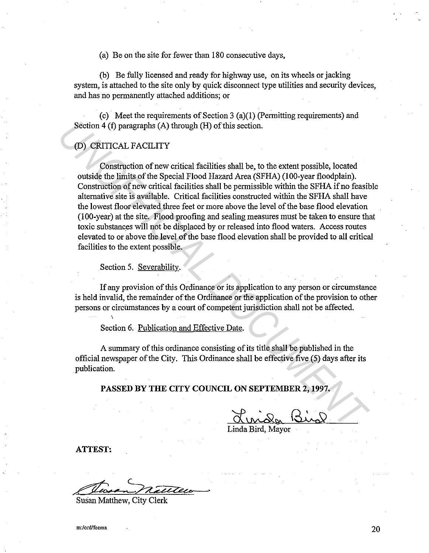(a) Be on the site for fewer than 180 consecutive days,

(b) Be fully licensed and ready for highway use, on its wheels or jacking system, is attached to the site only by quick disconnect type utilities and security devices, and has no permanently attached additions; or

(c) Meet the requirements of Section 3 (a)(l) (Permitting requirements) and Section 4 (f) paragraphs (A) through (H) of this section.

# (D) CRITICAL FACILITY

Construction of new critical facilities shall be, to the extent possible, located outside the limits of the Special Flood Hazard Area (SFHA) (100-year floodplain). Construction of new critical facilities shall be permissible within the SFHA if no feasible alternative site is available. Critical facilities constructed within the SFHA shall have the lowest floor elevated three feet or more above the level of the base flood elevation (100-year) at the site. Flood proofing and sealing measures must be taken to ensure that toxic substances will not be displaced by or released into flood waters. Access routes elevated to or above the level of the base flood elevation shall be provided to all critical facilities to the extent possible. Section 4 (f) paragraphs (A) through (H) of this section.<br>
(D) CRITICAL FACILITY<br>
Construction of new critical facilities shall be, to the extent possible, located<br>
outside the limits of the Special Flood Hazard Area (SFHA

Section 5. Severability.

If any provision of this Ordinance or its application to any person or circumstance is held invalid, the remainder of the Ordinance or the application of the provision to other persons or circilmstances by a court of competent jurisdiction shall not be affected.

Section 6. Publication and Effective Date.

A summary of this ordinance consisting of its title shall be published in the official newspaper of the City. This Ordinance shall be effective five (5) days after its publication.

**PASSED BY THE CITY COUNCIL ON SEPTEMBER 2, 1997.** 

Linda Bird, Mayor

**ATTEST:** 

Linda Bird, Mayor<br>
Contract Contract Contract Contract Contract Contract Contract Contract Contract Contract Contract Contract Contract Contract Contract Contract Contract Contract Contract Contract Contract Contract Contr

Susan Matthew, City Clerk

**m:/ord/feema** 20